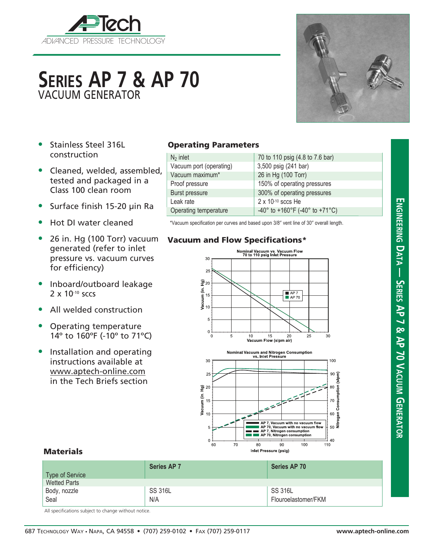

# **Series AP 7 & AP 70** VACUUM GENERATOR

- Stainless Steel 316L construction
- Cleaned, welded, assembled, tested and packaged in a Class 100 clean room
- Surface finish 15-20 µin Ra
- Hot DI water cleaned
- 26 in. Hg (100 Torr) vacuum generated (refer to inlet pressure vs. vacuum curves for efficiency)
- Inboard/outboard leakage 2 x 10<sup>-10</sup> sccs
- All welded construction
- Operating temperature 14º to 160ºF (-10º to 71ºC)
- Installation and operating instructions available at www.aptech-online.com in the Tech Briefs section

### Operating Parameters

| $N_2$ inlet             | 70 to 110 psig (4.8 to 7.6 bar) |
|-------------------------|---------------------------------|
| Vacuum port (operating) | 3,500 psig (241 bar)            |
| Vacuum maximum*         | 26 in Hg (100 Torr)             |
| Proof pressure          | 150% of operating pressures     |
| Burst pressure          | 300% of operating pressures     |
| Leak rate               | $2 \times 10^{-10}$ sccs He     |
| Operating temperature   | -40° to +160°F (-40° to +71°C)  |

\*Vacuum specification per curves and based upon 3/8" vent line of 30" overall length.

#### Vacuum and Flow Specifications\*





#### **Materials**

| Type of Service     | <b>Series AP 7</b> | Series AP 70        |
|---------------------|--------------------|---------------------|
| <b>Wetted Parts</b> |                    |                     |
| Body, nozzle        | <b>SS 316L</b>     | <b>SS 316L</b>      |
| Seal                | N/A                | Flouroelastomer/FKM |

All specifications subject to change without notice.



**Engineering D**

**a t**

**a — Series AP 7 & AP 70 V**

**acuum**

**Gener**

**ator**